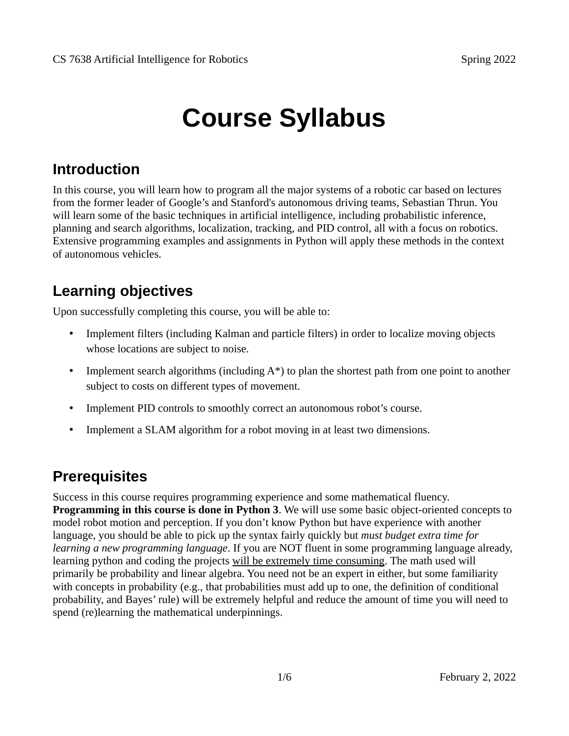# **Course Syllabus**

# **Introduction**

In this course, you will learn how to program all the major systems of a robotic car based on lectures from the former leader of Google's and Stanford's autonomous driving teams, Sebastian Thrun. You will learn some of the basic techniques in artificial intelligence, including probabilistic inference, planning and search algorithms, localization, tracking, and PID control, all with a focus on robotics. Extensive programming examples and assignments in Python will apply these methods in the context of autonomous vehicles.

# **Learning objectives**

Upon successfully completing this course, you will be able to:

- Implement filters (including Kalman and particle filters) in order to localize moving objects whose locations are subject to noise.
- Implement search algorithms (including  $A^*$ ) to plan the shortest path from one point to another subject to costs on different types of movement.
- Implement PID controls to smoothly correct an autonomous robot's course.
- Implement a SLAM algorithm for a robot moving in at least two dimensions.

## **Prerequisites**

Success in this course requires programming experience and some mathematical fluency. **Programming in this course is done in Python 3**. We will use some basic object-oriented concepts to model robot motion and perception. If you don't know Python but have experience with another language, you should be able to pick up the syntax fairly quickly but *must budget extra time for learning a new programming language*. If you are NOT fluent in some programming language already, learning python and coding the projects will be extremely time consuming. The math used will primarily be probability and linear algebra. You need not be an expert in either, but some familiarity with concepts in probability (e.g., that probabilities must add up to one, the definition of conditional probability, and Bayes' rule) will be extremely helpful and reduce the amount of time you will need to spend (re)learning the mathematical underpinnings.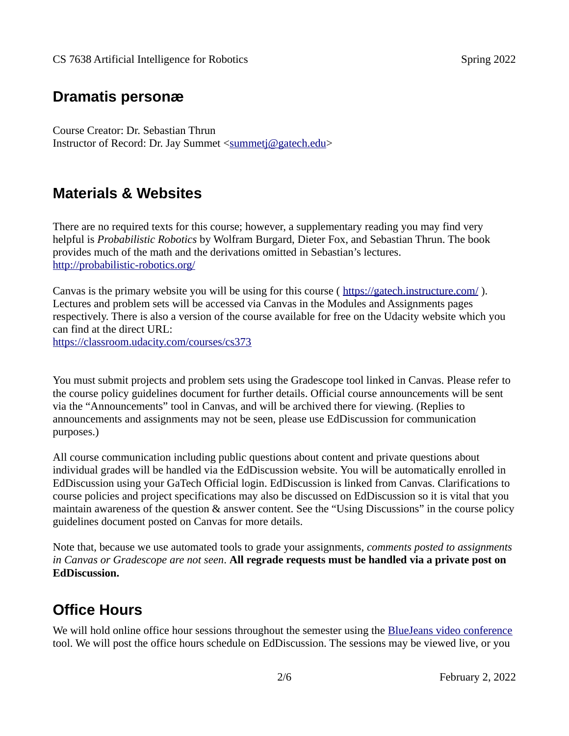#### **Dramatis personæ**

Course Creator: Dr. Sebastian Thrun Instructor of Record: Dr. Jay Summet <summetj@gatech.edu>

#### **Materials & Websites**

There are no required texts for this course; however, a supplementary reading you may find very helpful is *Probabilistic Robotics* by Wolfram Burgard, Dieter Fox, and Sebastian Thrun. The book provides much of the math and the derivations omitted in Sebastian's lectures. <http://probabilistic-robotics.org/>

Canvas is the primary website you will be using for this course ( <https://gatech.instructure.com/> ). Lectures and problem sets will be accessed via Canvas in the Modules and Assignments pages respectively. There is also a version of the course available for free on the Udacity website which you can find at the direct URL:

<https://classroom.udacity.com/courses/cs373>

You must submit projects and problem sets using the Gradescope tool linked in Canvas. Please refer to the course policy guidelines document for further details. Official course announcements will be sent via the "Announcements" tool in Canvas, and will be archived there for viewing. (Replies to announcements and assignments may not be seen, please use EdDiscussion for communication purposes.)

All course communication including public questions about content and private questions about individual grades will be handled via the EdDiscussion website. You will be automatically enrolled in EdDiscussion using your GaTech Official login. EdDiscussion is linked from Canvas. Clarifications to course policies and project specifications may also be discussed on EdDiscussion so it is vital that you maintain awareness of the question & answer content. See the "Using Discussions" in the course policy guidelines document posted on Canvas for more details.

Note that, because we use automated tools to grade your assignments, *comments posted to assignments in Canvas or Gradescope are not seen*. **All regrade requests must be handled via a private post on EdDiscussion.** 

## **Office Hours**

We will hold online office hour sessions throughout the semester using the [BlueJeans video conference](https://gatech.bluejeans.com/) tool. We will post the office hours schedule on EdDiscussion. The sessions may be viewed live, or you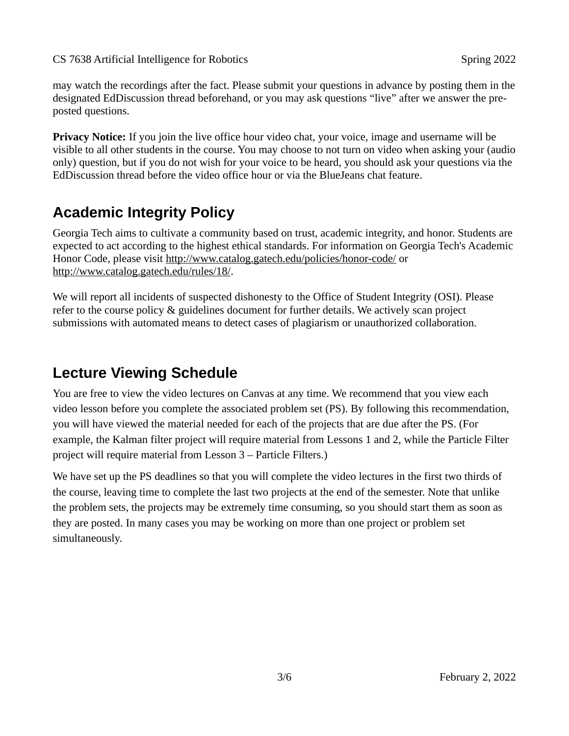CS 7638 Artificial Intelligence for Robotics Spring 2022

may watch the recordings after the fact. Please submit your questions in advance by posting them in the designated EdDiscussion thread beforehand, or you may ask questions "live" after we answer the preposted questions.

**Privacy Notice:** If you join the live office hour video chat, your voice, image and username will be visible to all other students in the course. You may choose to not turn on video when asking your (audio only) question, but if you do not wish for your voice to be heard, you should ask your questions via the EdDiscussion thread before the video office hour or via the BlueJeans chat feature.

# **Academic Integrity Policy**

Georgia Tech aims to cultivate a community based on trust, academic integrity, and honor. Students are expected to act according to the highest ethical standards. For information on Georgia Tech's Academic Honor Code, please visit<http://www.catalog.gatech.edu/policies/honor-code/> or <http://www.catalog.gatech.edu/rules/18/>.

We will report all incidents of suspected dishonesty to the Office of Student Integrity (OSI). Please refer to the course policy & guidelines document for further details. We actively scan project submissions with automated means to detect cases of plagiarism or unauthorized collaboration.

# **Lecture Viewing Schedule**

You are free to view the video lectures on Canvas at any time. We recommend that you view each video lesson before you complete the associated problem set (PS). By following this recommendation, you will have viewed the material needed for each of the projects that are due after the PS. (For example, the Kalman filter project will require material from Lessons 1 and 2, while the Particle Filter project will require material from Lesson 3 – Particle Filters.)

We have set up the PS deadlines so that you will complete the video lectures in the first two thirds of the course, leaving time to complete the last two projects at the end of the semester. Note that unlike the problem sets, the projects may be extremely time consuming, so you should start them as soon as they are posted. In many cases you may be working on more than one project or problem set simultaneously.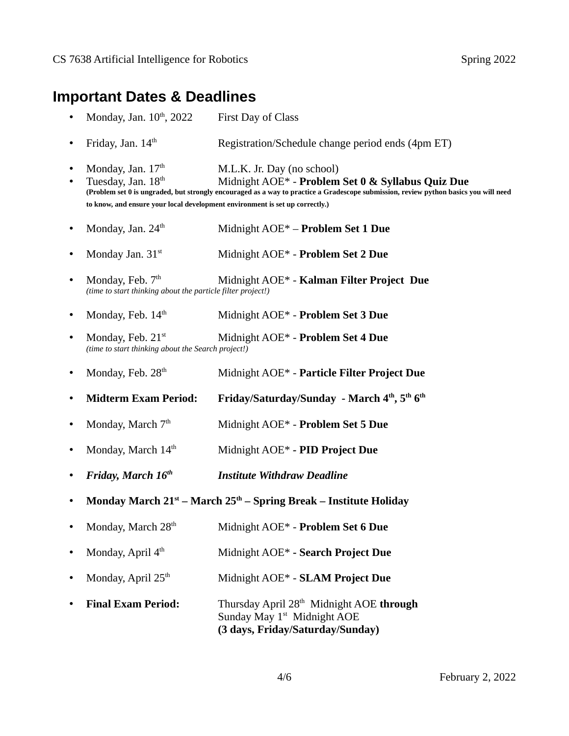#### **Important Dates & Deadlines**

- Monday, Jan.  $10^{th}$ , 2022 First Day of Class
- Friday, Jan.  $14<sup>th</sup>$ Registration/Schedule change period ends (4pm ET)
- Monday, Jan.  $17<sup>th</sup>$  M.L.K. Jr. Day (no school)
- Tuesday, Jan. 18th Midnight AOE\* **Problem Set 0 & Syllabus Quiz Due (Problem set 0 is ungraded, but strongly encouraged as a way to practice a Gradescope submission, review python basics you will need to know, and ensure your local development environment is set up correctly.)**
- Monday, Jan. 24<sup>th</sup> Midnight AOE\* **Problem Set 1 Due**
- Monday Jan. 31st Midnight AOE\* **Problem Set 2 Due**
- Monday, Feb. 7<sup>th</sup> Midnight AOE\* **Kalman Filter Project Due** *(time to start thinking about the particle filter project!)*
- Monday, Feb. 14<sup>th</sup> Midnight AOE\* - **Problem Set 3 Due**
- Monday, Feb. 21st Midnight AOE\* - **Problem Set 4 Due** *(time to start thinking about the Search project!)*
- Monday, Feb.  $28<sup>th</sup>$ Midnight AOE\* - **Particle Filter Project Due**
- **Midterm Exam Period: Friday/Saturday/Sunday March 4th, 5th 6th**
- Monday, March 7<sup>th</sup> Midnight AOE\* **Problem Set 5 Due**
- Monday, March 14<sup>th</sup> Midnight AOE\* *-* **PID Project Due**
- *Friday, March 16th Institute Withdraw Deadline*
- **Monday March 21st March 25th Spring Break Institute Holiday**
- Monday, March 28<sup>th</sup> Midnight AOE\* *-* **Problem Set 6 Due**
- Monday, April  $4<sup>th</sup>$ Midnight AOE\* **- Search Project Due**
- Monday, April 25th Midnight AOE\* **SLAM Project Due**
- **Final Exam Period:** Thursday April 28th Midnight AOE **through**  Sunday May 1<sup>st</sup> Midnight AOE **(3 days, Friday/Saturday/Sunday)**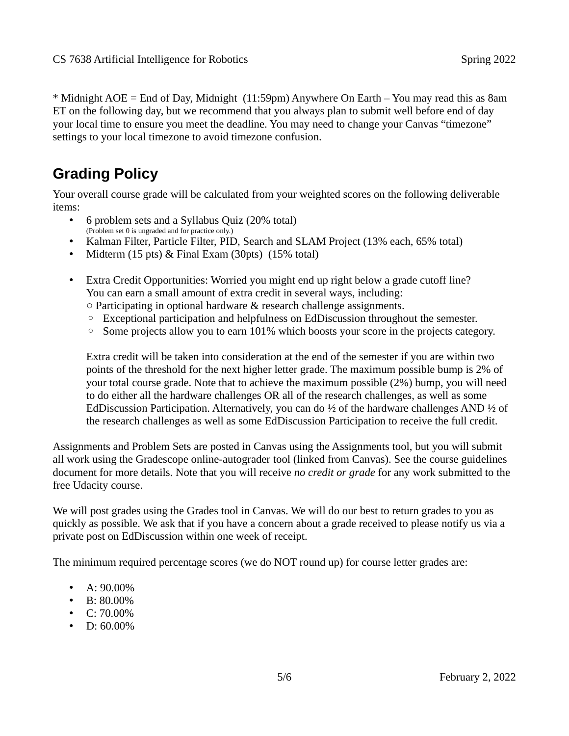\* Midnight AOE = End of Day, Midnight (11:59pm) Anywhere On Earth – You may read this as 8am ET on the following day, but we recommend that you always plan to submit well before end of day your local time to ensure you meet the deadline. You may need to change your Canvas "timezone" settings to your local timezone to avoid timezone confusion.

# **Grading Policy**

Your overall course grade will be calculated from your weighted scores on the following deliverable items:

- 6 problem sets and a Syllabus Quiz (20% total) (Problem set 0 is ungraded and for practice only.)
- Kalman Filter, Particle Filter, PID, Search and SLAM Project (13% each, 65% total)
- Midterm (15 pts) & Final Exam (30pts) (15% total)
- Extra Credit Opportunities: Worried you might end up right below a grade cutoff line? You can earn a small amount of extra credit in several ways, including:
	- Participating in optional hardware & research challenge assignments.
	- Exceptional participation and helpfulness on EdDiscussion throughout the semester.
	- Some projects allow you to earn 101% which boosts your score in the projects category.

Extra credit will be taken into consideration at the end of the semester if you are within two points of the threshold for the next higher letter grade. The maximum possible bump is 2% of your total course grade. Note that to achieve the maximum possible (2%) bump, you will need to do either all the hardware challenges OR all of the research challenges, as well as some EdDiscussion Participation. Alternatively, you can do ½ of the hardware challenges AND ½ of the research challenges as well as some EdDiscussion Participation to receive the full credit.

Assignments and Problem Sets are posted in Canvas using the Assignments tool, but you will submit all work using the Gradescope online-autograder tool (linked from Canvas). See the course guidelines document for more details. Note that you will receive *no credit or grade* for any work submitted to the free Udacity course.

We will post grades using the Grades tool in Canvas. We will do our best to return grades to you as quickly as possible. We ask that if you have a concern about a grade received to please notify us via a private post on EdDiscussion within one week of receipt.

The minimum required percentage scores (we do NOT round up) for course letter grades are:

- A: 90.00%
- B: 80.00%
- $C: 70.00\%$
- $D: 60.00\%$